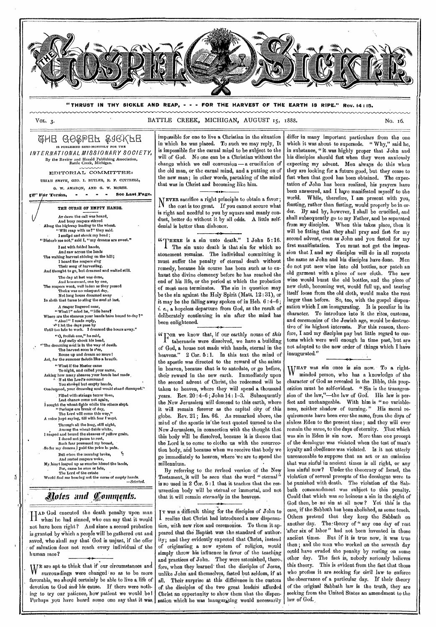

**"THRUST IN THY SICKLE AND REAP, - - - FOR THE HARVEST OF THE EARTH IS RIPE." Rev. 14 : 15.** 

VOL. 3. No. 16. BATTLE CREEK, MICHIGAN, AUGUST 15, 1888.

@HE GO&PEF & GRKFE IS PUBLISIIRD SRMI-MONTHLY FOR THE *INTERNATIONAL MISSIONARY SOCIETY,*  By the Review and Herald publishing Association, Battle Creek, Michigan.

EDITORIAL COMMITTEE: URIATI SMITH, CEO. I. BUTLER, R. F. COTTRELL,

O. W. AMADON, AND 0. W. MORSE. glrF¢**r Tenho, - - See Last Page.** 

THE OURSE OF EMPTY HANDS. Ar dawn the call was heard, And busy reapers stirred Along the highway leading to the wheat. " Wilt reap with us?" they said. **• I smiled and shook my head ;<br>
<b>•** Disturb me not," said I, "my dreams are sweet." **I** sat with folded hands, And saw across the lands The waiting harvest shining on the bill; I hoard the reapers sing Their song of harvesting. And thought to go, but dreamed and waited still. The day at last was done, And homeward, ono by one, The reapers wont, well laden as they passed Thoire was no misspent day, Not long hours dreamed away *In* sloth that turns to sting the soul at last, A reaper lingered near,<br>
"What!" cried he, "idle here?"<br>
Where are the sheaves your hands have bound to-day?"<br>
"Alas!" I made reply,  $\mathcal{N}$ <sup>1</sup> let the days pase by<br>Until too late to work. I dreamed the hours away.' Until too late to work. **I** dreamed the hours away." "O, foolish one," he said,<br>
And sadly chook his head,<br>
"The dreaming soul is in the way of death.<br>
The harvest soon is o'er,<br>
Rouse up and dream no more !<br>
Act, for the summer fadeth like a breath. " What if the Master came To-night, and called your name, Asking how many sheaves your hands had made, If at the Lord's command You showed but empty hands, Condetrod, your 'dreaming soul would stand dismayed." Filled with strange terror then, Lost chance come not again,<br>I sought the wheat-figlie while the others slept.<br>"Perhaps ere break of day,<br>"The Lord will come this way," *A* voice *bept saying, till with fear f* wept. Through all the long, still night, Among the wheat-fields white, I reaped and bound the sheaves of yellow grain. I dared not pause to rest,<br>Such fear possessed my breast Such fear possessed my breast, -So for my dreams I paid the price in pain. But when the morning broke, And rested reapers woke,<br>
My, heart leaped up as sunrise kissed the lands,<br>
For, came he soon or late,<br>
The Lord of the estate<br>
Would find mo bearing not the eurse of empty hands.<br> *—Selected.* 

# *\*airs and onmittnis.*

ħ

H AD God executed the death penalty upon man<br>H when he had sinned, who can say that it would when he had sinned, who can say that it would not have been right? And since a second probation is granted by Which a people will be gathered out and saved, who shall say that God is unjust, if the offer of salvation does not reach every individual of the human race?

It are apt to think that if our circumstances and surroundings were changed so as to be more favorable, we should certainly be able to live a. life of devotion to God and his cause. If there were nothing to try our patience, how patient we would be I Perhaps you have heard some one say that it was, impossible for one to live a Christian in the situation in which he was placed. To such we may reply, It is impossible for the carnal mind to be subject to the will of God. No one can be a Christian without the change which we call conversion — a crucifixion of the old man, or the carnal mind, and a putting on of the new man; in other words, partaking of the mind that was in Christ and becoming like him.

**N EVER** sacrifice a right principle to obtain a favor ; the cost is too great. If you cannot secure what is right and needful to you by square and manly conduct, better do without it by all odds. A little selfdenial is better than dishonor.

itHERE is a sin unto death." **1** John 5 : 16. .1 The sin unto death **is** that sin for which no atonement remains. The individual committing it must suffer the penalty of eternal death without remedy, because his course has been such as to exhaust the divine clemency before he has reached the end of his life, or the period at which the probation of most men terminates. The sin in question may be the sin against the Holy Spirit (Matt. 12 : 31), or it may be the falling away spoken of in Heb. 6 :4-6; i. *e.,* a hopeless departure from God, as the result of deliberately continuing in sin after the mind has been enlightened.

ccrOR we know that, if our earthly nouse of *this*  tabernacle were dissolved, we have a building of God, a house not made with hands, eternal in the heavens." 2 Cor. 5:1. In this text the mind of the apostle was directed to the reward of the saints in heaven, because that is to antedate, or go before, their reward in the new earth. Immediately upon the second advent of Christ, the redeemed will be taken to heaven, where they will spend a thousand years. Rev.  $20:4-6$ ; John  $14:1-3$ . Subsequently the New Jerusalem will descend to this earth, where it will remain forever as the capital city of this globe. Rev. 21; Isa. 66. As remarked above, the mind of the apostle in'the text quoted turned to the New Jerusalem, in connection with the thought that this body will be dissolved, because it is thence that the Lord is to come to clothe us with the resurreotion body, and because when we receive that body we go immediately to heaven, where'we are to spend the millennium.

By referring to the revised version of the New Testament, it will be seen that the word " eternal" is so used in 2 dor. 5 :1 that it teaches that the resurrection body will be eternal or immortal, and not that it, will remain *eternally* in the heavens.

I realize that Christ had introduced a new dispensa-T was a difficult thing for the disciples of John to tion, with new rites and ceremonies. To them it appeared that the Baptist was the standard of authority; and they evidently expected that Christ, instead of originating, a new system of religion, would simply throw his influence in favor of the teaching and practices of John. They were astonished, therefore, when they learned that the disciples of Jesus, unlike John and themselves, fasted but seldom, if at all. Their surprise at this diffeience in the custom of the disciples of the two great leaders afforded Christ an opportunity to show them that the dispensation which he was inaugurating would necessarily

differ in many important particulars from the one which it was about to supersede. " Why," said he, in substance, " it was highly proper that John and his disciples should fast when they were anxiously expecting my advent. Men always do this when they are looking for a future good, but they cease to fast when that good has been obtained. The expectation of John has been realized, his prayers have been answered, and I have manifested myself to the world. While, therefore, I am present with you, feasting, rather than fasting, would properly bo in order. By and by, however, I shall be crucified, and shall subsequently go to my Father, and be separated from my disciples. When this takes place, then it will be fitting that they shall pray and fast for my second advent, even as John and you fasted for my first manifestation. You must not get the impression that I and my disciples will do in all respects the same as John and his disciples have done. Men do not put new wine into old bottles, nor patch an old garment with a piece of new cloth. The new wine would burst the old bottles, and the piece of new cloth, becoming wet, would full up, and tearing itself loose from the old cloth, would make the rent larger than before. So, too, with the gospel dispensation which I am inaugurating. It is peculiar in its character. To introduce into it the rites, customs, and ceremonies of the Jewish age, would be destructive of its highest interests. For this reason, therefore, I and my disciples pay but little regard to customs which were well enough in time past, but are not adapted to the new order of things which I have inaugurated."

w HAT was sin once is sin now. To a rightminded person, who has a knowledge of the character of God as revealed in the Bible, this proposition must be self-evident. " Sin is the transgression of the law,"-the law of God. His law is perfect and unchangeable. With him is "no variableness, neither shadow of turning." His moral requirements have been ever the same, from the days of sinless Eden to the present time ; and they will ever remain the same, to the days of eternity. That which was sin in Eden is sin now. More than one precept of the decalogue was violated when the test of man's loyalty and obedience was violated. Is .it not utterly unreasonable to suppose that an act or an omission that was sinful 'in ancient times is all right, or any less sinful now? Under the theocracy of Israel, the violation of several precepts of the decalogue were to be punished with death. The violation of the Sabbath commandment was subject to this penalty. Could that which was so heinous a sin in the sight of God then, be no sin at all now? Yet this is the case, if the Sabbath has been abolished, as some teach. Others pretend' that they keep the Sabbath on another day. The theory of " any one day of rest 'after six of labor" had not been invented in those ancient times. But if it is true now, it was true then ; and the man who worked on the seventh day could have evaded the penalty by resting on some other day. The fact is, nobody seriously believes this theory. This is evident from the fact that those who profess it are seeking for civil law. to enforce the observance of a particular day. If their theory of the original Sabbath law is the truth, they are seeking from the United States an amendment to the law of God.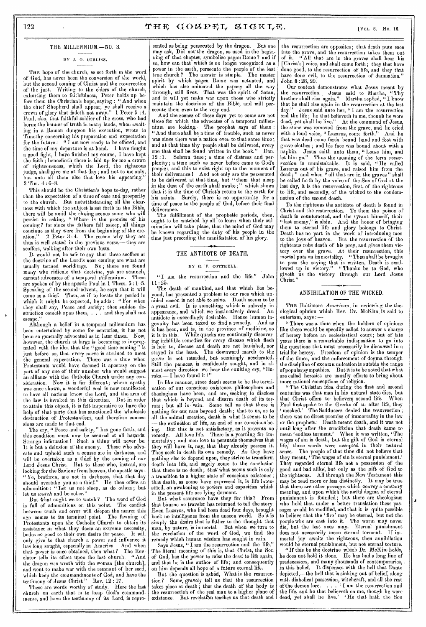# 122 (VOL. 3.—No. 16.

### BY J. 0. CORIASS.

•

THE hope of the church, as set forth in the word of God, has never been the conversion of the world, but the second coming of Christ and the resurrection of the just. Writing to the elders of the church, exhorting them to faithfulness, Peter holds up before them the Christian's hope, saying : " And when the chief Shepherd shall appear, ye shall receive a crown of glory that fadeth not away." 1 Peter 5 :4. Paul, also, that faithful soldier of the cross, who had borne the banner of truth in many lands, when awaiting in a Roman dungeon his execution, wrote to Timothy concerning his preparation and expectation for the future: " I am now ready to be offered, and the time of my departure is at hand. I have fought a good fight, 1 have finished my course, I have kept the faith ; henceforth there is laid up for me a crown of righteousness, which the Lord, the righteous judge, shall give me at that day ; and not to me only, but unto all them also that love his appearing. 2 Tim. 4:6-8.

This should be the Christian's hope to-day, rather than the expectation of a time of ease and prosperity to the church. But notwithstanding all the clearness with which the subject is set forth in the Bible, there will be amid the closing scenes some who will persist in asking, " Where is the promise of his coming? for since the fathers fell asleep, all things continue as they were from the beginning of the cre-<br>ation." 2 Peter 3:4. The reason why they act  $\frac{2 \text{ Peter } 3:4. \text{ The reason why they act}}{4 \text{ well stated in the previous verse},\text{-- they are}}$ thus is well stated in the previous verse,scoffers, walking after their own lusts.

It would not be safe to say that these scoffers at the doctrine of the Lord's near coming are what are usually termed worldlings. No; there are found usually termed worldlings. many who ridicule that doctrine, yet are staunch, earnest advocates of a temporal millennium. These are spoken of by the apostle Paul in 1 Thess. 5 :1-5. Speaking of the second' advent, he says that it will come as a thief. Then, as if to locate the period in which it might be expected, he adds : " $1$ they shall say, Peace and *safety ;* then sudden destruction cometh upon them, . . . and they shall not escape."

Although a belief in a temporal millennium has been entertained by some for centuries, it has not been so generally advocated as in later times. Now, however, the church at large is becoming so impregnated with the idea that the "good time coming" just before us, that every nerve is strained to meet the general expectation. There was a time when Protestants would have deemed it apostasy on the part of any one of their number who would suggest an alliance with the Catholic Churoh under any con-<br>sideration. Now it is far different; where apathy Now it is far different; where apathy was once shown, a wonderful zeal is now manifested to have all nations know the Lord, and the arm of the law is invoked in this direction. But in order to attain this object, it is felt imperative to have the help of that party that has sanctioned the wholesale destruction of Protestantism, and therefore concessions are made to that end.

The cry, " Peace and safety," has gone forth, and this condition must now be secured at all hazards. Strange infatuation ! Such a thing will never be. It is but a delusion of the enemy. Those who advocate and uphold such a course are in darkness, and will be overtaken as a thief by the coming of our Lord Jesus Christ. But to those who, instead, are looking for the Saviour from heaven, the apostle says :<br>"Ye, brethren, are not in darkness, that that day brethren, are not in darkness, that that day should overtake you as a thief." He then offers an admonition : " Let us not sleep, as do others; but let us *watch* and be sober."

But what ought we to watch? The word of God is full of admonitions on this point. The conflict between truth and error will deepen the nearer this age comes to its terminal point. The fawning of age comes to its terminal point. Protestants upon the Catholic Cliurch to obtain its assistance in what they deem an extreme necessity, bodes no good to their own desire for peace. It will only give to that church a power and influence it has long sought, especially in America. And when that power is once obtained, then what? The Revclator tells its effect upon the last church. "And the dragon was wroth with the woman [the church], and went to make war with the remnant of her seed, which keep the commandments of God, and have the testimony of Jesus Christ." Rev. 12 : 17.

These are words worthy of study. Here the last church on earth that is to keep God's commandments, and have the testimony of its Lord, is repre-

THE MILLENNIUM. $-$ NO. 3. sented as being persecuted by the dragon. But one may ask, Did not' the dragon, as used in the beginning of that chapter, symbolize pagan Rome ? and if so, how can that which is no longer recognized as a power in the earth, persecute the people of the last true church? The answer is simple. The master true church ? The answer is simple. spirit by which pagan Rome was actuated, and which has also animated the papacy all the way through, still lives. That was the spirit of Satan, and it will yet make war upon those who strictly maintain the doctrines of the Bible, and will persecute them oven to the very end.

> And the scenes of these days yet to come aro not those for which the advocates of a temporal millennium are looking.. The prophet says of them : "And there shall be a time of trouble, such as never was since there was a nation even to that same time: and at that time thy people shall be delivered, every one that shall be found written in the book." Dan. 12 : 1. Solemn time; a time of distress and perplexity ; a time such as never before came to God's people; and this to exist right up to the moment of their deliverance I And not only are the persecuted to be delivered at that time, but " them that sleep in the dust of the earth shall awake;" which shows that it is the time of Christ's return to the earth for his saints. Surely, there is no opportunity for a time of peace to the people of' God, before their final deliverance.

> The fulfillment of the prophetic periods, then, ought to be watched by all to learn when their culmination will take place, that the mind of God may be known regarding the duty of his people in the time just preceding the manifestation of his glory.

# THE ANTIDOTE OF DEATH.

# BY R. F. COTTRELL.

" I AM the resurrection and the life." John 11 : 25.

The death of mankind, and that which lies beyond, has presented a problem to our race which unaided reason is not able to solve. Death seems to be a great evil. It is something which is unlovely in<br>announce and which we instinctively dread. An appearance, and which we instinctively dread. antidote is exceedingly desirable. Hence human ingenuity has been taxed to find a remedy. And as it has been, and is, in the province of medicine, so it is in this. While quacks are continually discovering infallible remedies for every disease which flesh is heir to, disease and death are not banished, nor The downward march to the grave is not retarded, but seemingly accelerated. Still the panacea is confidently sought, and in almost every direction we hear the exulting cry, "Eureka — I have found itl"

In like manner, since death seems to be the termination of our conscious existence, philosophers and theologians have been, and are, seeking to disclose that which is beyond, and disarm death of its terrors ; but all in• vain. Some tell us that there is nothing for our race beyond death ; that to us, as to all the animal creation, death is what it seems to be — the extinction of life, an end of our conscious being. But this is not satisfactory, as it presents no remedy. All love life. There is a yearning for immortality ; and men love to persuade themselves that they will have it, nay, that they already possess it. They seek in death its own remedy. As they have nothing else to depend upon, they strive to transform death into life, and sagely come to the conclusion that there is no death; that'What seems such is only a transition to a higher state of conscious existence; that death, as some have expressed it, is life intensified, an awakening to powers and capacities which in the present life are lying dormant.

But what assurance have they for this? From that bourne no traveler has returned to tell the story. Even Lazarus, who had been dead four days, brought back no intelligence from the unseen world. simply the desire that is father to the thought that man, by nature, is immortal. But when we turn to the revelation of the word of God, we find the remedy which human wisdom has sought in vain.

Says Jesus, " I am the resurrection and the life." The literal meaning of this is, that Christ, the Son of God, has the power to raise the dead to life again, and that he is the author of life; and consequently on him depends all hope of a future eternal life.

But the question is asked, What is the resurrection? Some, gravely tell us that the resurrection takes place at death ; that the death of the body is the resurrection of the real man to a higher plane of existence. But revelation teaches us that death and

the resurrection are opposites; that death puts men into the grave, and the resurrection takes them out All that are in the graves shall hear his [Christ's] voice, and shall come forth; they that have done good, to the resurrection of life, and they that have done evil, to the resurrection of damnation. John 5 :28, 29.

Our context demonstrates what Jesus meant by the resurrection. Jesus said to Martha, " Thy brother shall rise again." Martha replied, "I know that he shall rise again in the resurrection at the last  $d$ av." Jesus said unto her. "I am the resurrection Jesus said unto her, " I am the resurrection and the life; he that believeth in me, though he were dead, yet shall he live." At the command of Jesus, At the command of Jesus, the stone was removed from the grave, and he cried<br>with a loud voice, "Lazarus, come forth." And he with a loud voice, "Lazarus, come forth." that was dead came forth bound hand and foot with grave-clothes; and his face was bound about with a napkin. Jesus saith unto them, "Loose him, and let him go." Thus the meaning of the term *resurrection is* unmistakable. It is said, " He called Lazarus out of' his grave, and raised him from the dead ; " and when " all that are in the graves " shall be called forth by the voice of the Son of God at the last day, it is the resurrection, first, of the righteous to life, and secondly, of the wicked to the condemnation of the second death.

To the righteous the antidote of death is found in<br>rist and the resurrection. To them the poison of Christ and the resurrection. To them the poison of death is counteracted, and the tyrant himself, their ' last enemy," is slain. And the honor of bringing them to eternal life and glory belongs to Christ. Death has no part in the work of introducing men to the joys of heaven. But the resurrection of the righteous robs death of his prey, and gives them victory over the grave. At their resurrection, this mortal puts on immortality. "Then shall be brought to pass the saying that is written, Death is swallowed up in victory." "Thanks be to God, who giveth us the victory through our Lord Jesus Christ."

# ANNIHILATION OF THE WICKED.

THE Baltimore *American,* in reviewing the theological opinion which Rev. Dr. McKim is said to entertain, says :—

" There was a time when the holders of opinions like these would be speedily called to answer a charge of heresy before an ecclesiastical court; but of late years there is a remarkable indisposition to go into the questions that must necessarily be discussed in a trial for heresy. Freedom of opinion is the temper of the times, and the enforcement of dogma through the discipline of excommunication is outside the range of popular, sympathies. But it is to be noted that what are called heresies are usually efforts to bring about more rational conceptions of religion.

"The Christian idea during the first and second The Unristian idea during you have the set of the enturies was that man in his natural state dies, but that Christ offers to believers second life. Paul first spoke to the Greeks of an after life, they mocked.' The Sadducees denied the resurrection ; there was no direct promise of immortality in the law or the prophets. Death meant death, and it was not until long after the crucifixion that death Came to mean 'endless torment.' When it was written, The wages of sin is death, but the gift of God is eternal life, those words were accepted in their natural sense. The people of that time did not believe that they meant, The wages of sin is eternal punishment.' They regarded eternal life not a possession of the good and bad alike; but only as the gift of God to the righteous. All through the New Testament this may be read more or less distinctly. It may be true that there are other passages which convey a contrary meaning, and upon which the awful dogma of eternal punishment is founded; but there are theologians who hold that, under a better translation these passages would be modified, and that it is quite possible to believe that the fire' may be eternal, but not the people who are cast into it. The worm may never die, but the lost ones may. Eternal punishment does not necessarily mean eternal torment. If immortal joy awaits the righteous, then annihilation would be eternal punishment, but not eternal torture.

"If this be the doctrine which Dr. McKim holds, he does not hold it alone. He has had a long line of predecessors, and many thousands of contemporaries, in this belief. It dispenses with the hell that Dante depicted,—the hell that is sinking out of belief, along with diabolical possession, witchcraft, and all the rest of the demon lore. . . . . ' I am the resurrection and the life, and he that believeth on me, though he were dead, yet shall he live.' He that hath the Son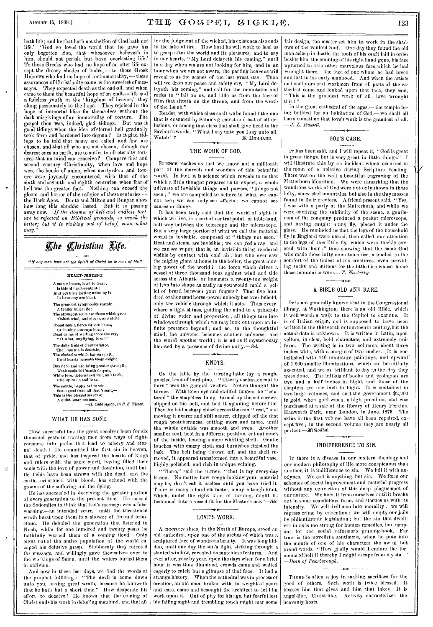# August 15, 1888.]  $\textbf{THE} \quad \textbf{GOSPEL} \quad \textbf{SIGKLE} \quad \text{123}$

hath life; and he that hath not the Son of God hath not life.' 'God so loved the world that he gave his only begotten Son, that whosoever believeth in him, should not perish, but have everlasting life.' To those Greeks who had no hope of an after life except the dreary shades of' hadcs, — to those Greek Hebrews who had no hope of animmortality, — these assurances of Christianity came as the sweetest of messages. They expected death as the end-all, and when came to them the beautiful hope of an endless life and a fadeless youth in the 'kingdom of heaven,' they clung passionately to the hope. They rejoiced in the hope of immortal bliss for themselves without the dark misgivings of an immortality of torture. The gosnel then was, indeed, glad tidings. But was it gospel then was, indeed, glad tidings. good tidings when the idea of eternal hell gradually took form and hardened into dogma.? Is it glad tidings to be told that many are called and few are chosen, and that all who are not chosen, though our dearest ones on earth, are to suffer to all eternity tortures that no mind can conceive? Compare first and second century Christianity, when love and hope were the bonds of union, when martyrdom and torture were joyously encountered, with that of the sixth and seventh and eighth centuries, when fear of hell was the greater fact. Nothing can exceed the gloom and horror of the religion of these centuries the Dark Ages.  $\;$  Dante and Milton and Bunyan show how long this shudder lasted. But it is passing away now. *If the dogma of hell and endless tort*ure *be rejected on Biblical grounds, so much the better; but it is sinking out of belief, come what may."* 

# *<i>Ehe Christian Life.*

" If any man have not the Spirit of Christ he is none of his."

HEART-CONTENT. A SIMPLE lesson, hard to learn, Is this of hoart-content ; And yet life's jarring notes by it<br>In harmony are blent. The grandest symphonies sustain A tender inner life ; The strongest souls are those which grow 'Oainst wind, and storm, and strife. Sometimes a fierce sirocco blows, Or flaming sun-rays burn ; Dead calms of waiting force the cry, " 0 wind, unpitying, turn !" The daily frets of circumstance, Tho hope made desolate, The obstacles which bar our path, Bend hearts beneath their weight. But need and use bring greater strength, Weak souls fall Meath despair, While love, determined will, and faith, Rise up to do and bear. Thu subtle, happy art to win Some good from all that's sent,— This is the blessed secret of A quiet heart-conte content.<br>—II. Coddington, in S. S. Times. WHAT HE HAS DONE.

How successful has the great deceiver heen for six thousand years in turning men from ways of righteousness into paths that lead to misery and eternal death 1 He committed the first sin in heaven, that of pride, and has inspired the hearts of kings and rulers with the same spirit, having filled their souls with the love of power and dominion, until battle fields have been strewn with the dead, and the earth, crimsoned with blood, has echoed with the groans of the suffering and the dying.

 $\gamma$ 

He has succeeded in deceiving the greater portion of every generation to the present time. He 'caused the Sodomites to think that Lot's message was a false warning,--an intended scare,—until the threatened wrath burst upon them in a shower of fire and brimstone. He deluded the generation that listened to Noah, while for one hundred and twenty years he faithfully warned them of a coming flood. Only eight out of the entire population of the world escaped his delusive grasp. Stubbornly they rejected the message, and willingly gave themselves over to the workings of Satan, until the waters buried them in oblivion.

And now in these last days, we find the words of the prophet fulfilling : " The devil is come down unto you, having great wrath, because he knoweth that he hath but a short time." How desperate his effort to deceive 1 He knows that the coming of Christ ends his work in deluding mankind, and that after the judgment of the wicked, his existence also ends in the lake of fire. How hard he will work to lead us to grasp after the world and its pleasures, and to say in our hearts, "My Lord delayeth his coming," until in a day when we are not looking for him, and in an hour when we are not aware, the parting heavens will reveal to us the seenes of the last great day. Then will we drop our peace and safety cry, "My Lord delayeth his coming," and call for the mountains and rocks to "fall on us, and hide us from the face of Him that sitteth on the throne, and from the wrath of the Lamb."

Reader, with which class shall we be found ? the one that is ensnared by Satan's greatest and last of all delusions, or among that class that shall give heed to-the Saviour's words, " What I say unto you I say unto all, Watch "? E. HILLIARD.

# THE WORK OF GOD.

SCIENCE teaches us that we know not a millionth part of the marvels and wonders of this behutiful world. In fact, it is science which reveals to us that which a little thought prepares us to expect, a whole universe of invisible things and powers, "things not seen ;" we are compelled to believe in what we cannot *see* ; we can only see effects ; we cannot see causes or *things.* 

It has been truly said that the world of sight in which we live, is a sort of central point, or table-land, half way between the telescope and the microscope. But a very large portion of what we call the material world is invisible, composed of " things not seen." Heat and steam are invisible ; we can *feel* a ray, and we can *see* vapor, that is, an invisible thing rendered visible by contact with cold air; but who ever saw the mighty giant at home in the boiler, the great moving power of the world ? the force which drives a vessel of three thousand tons against wind and tide across the Atlantic, or hammers a twenty-ton weight of iron into shape as easily as you would mold a pellet of bread between your fingers? That five hundred or thousand horse-power nobody has ever beheld, only the vehicle through which it acts. Thus everywhere a light shines, guiding the mind to a principle of divine order and proportion ; all things turn into windows through which we may look out upon an infinite presence beyond; and so, to the thoughtful mind, the universe becomes another universe, and the world another world ; it is all as if mysteriously haunted by a presence of divine unity.--Sel.

## KNOTS.

Ox the table by the turning-lathe lay a rough, gnarled knot of hard pine. "Utterly useless, except to burn," was the general verdict. Not so thought the With keen eye and skillful fingers, he "centered" the shapeless lump, turned up the set screws, slipped on the belt, and had it spinning before him. Then he laid a sharp chisel across the iron " rest," and moving it nearer and still nearer, chipped off the first rough protuberances, cutting more and more, until the whole outside was smooth and even. Another smaller tool, held in a different position, cut out much of the inside, leaving a mere whirling shell. Gentle touches with emery cloth and burnishes finished the fask. The belt being thrown off, and the shell re-The belt being thrown off, and the shell removed, it appeared transformed into a beautiful vase, highly polished, and rich in unique veining.

"There," said the turner, "that is my every-day lesson. No matter how rough-looking your material may be, do n't call it useless until you have tried it. There is many a hard character, many a tough knot, which, under the right kind of turning, might he<br>fashioned into a yeasel fit for the Master's use "-Sel fashioned into a vessel fit for the Master's use."

# LOVE'S WORK.

A CENTURY since, in the North of Europe, stood an old cathedral, upon one of the arches of which was a sculptured face of wondrous beauty. It was long hidden, until one day the sun's light, striking through a slanted window, revealed its matchless features. And ever after, year by year, upon the days when for a brief hour it was thus illumined, crowds came and waited eagerly to catch but a glimpse of that face. It had a<br>strange history. When the cathedral was in process of When the cathedral was in process of erection, an old man, broken with the weight of years and care, came and besought the architect to let him work upon it. Out of pity for his age, but fearful lest his failing sight and trembling touch might mar some

fair design, the master set him to work in the shadows of the vaulted roof. One day they found the old man asleep in death, the tools of his craft laid in order beside him, the cunning of his right hand gone, his face upturned to this other marvelous face,which he had wrought there,—the face of one whom he had loved and lost in his early manhood. And when the artists and sculptors and workmen from all parts of the cathedral came and looked upon that face, they said, " This is the grandest work of all ; love wrought this!"

In the great cathedral of the ages,-the temple being budded for an habitation of God,— we shall all learn sometime that love's work is the grandest of all. *— ,7". L. Russell.* 

# GOD'S CARE.

IT has been said, and I will repeat it, "Cod is great in great things, but is very great in little things." will illustrate this by an incident which occurred in the room of a relative during Scripture reading. There was on the wall a beautiful engraving of the Matterhorn Mountain. We were remarking that the wondrous works of God were not only shown in those lofty, snow-clad mountains, but also in the tiny mosses found in their crevices. A friend present said, "Yes, I was with a party at the Matterhorn, and while we were admiring the sublimity of the scene, a gentleman of the company produced a pocket microscope, and having caught a tiny fly, placed it under the glass. He reminded us that the legs of the household fly in England were naked, then called our attention to the legs of this little fly, which were thickly covered with hair ;" thus showing that the same God who made those lofty mountains rise, attended to the comfort of the tiniest of his creatures, even providing socks and mittens for the little flies whose home these mountains were.—T. *Newberry.* 

# A BIBLE OLD AND RARE.

IT is not generally known that in the Congressional library, at Washington, there is an old Bible, which is well worth a walk to the Capitol to examine. It is of Italian origin, and is supposed to have been written in the thirteenth or fourteenth century,but the actual date is unknown. It is written in Latin, upon vellum, in clear, bold characters, and extremely uniform. The writing is in two columns, about three inches wide, with a margin of two inches, It is embellished with 146 miniature paintings, and upward' of 1,200 smaller illuminations, which are beautifully executed, and are as brilliant to-day as the day they were done. The initials of books and prologues are two and a half inches in hight, and those of the chapters are one inch in bight. It is contained in two large volumes, and cost the government \$2,200 in gold, when gold was at a high premium, and was purchased at a sale of the library of Henry Perkins, Hanworth Park, near London, in June, 1873. The skins in the first volume have all been repaired, except five ; in the second volume they ,are nearly all *perfect.—Methodist.* 

# INDIFFERENCE TO SIN.

Ir there is a disease in our modern theology and our modern philosophy of life more conspicuous than another, it is indifference to sin. We lull it with anodynes. We call it anything but sin. We form our schemes of social improvement and material progress without any conviction of this deep plague-spot of our nature. We hide it from ourselves until it breaks out in some scandalous form, and startles us with its intensity. We will drill men into morality ; we will repress crime by education ; we will empty our jails by philanthropic legislation ; but the sin that dwelleth in us is too strong for human remedies, too rampant for the social reformer's pruning-hook. Far truer is the novelist's sentiment, when he puts into the mouth of one of his characters the awful het grand words, "How gladly would I endure the torments of hell if thereby I might escape from my sin 1" *—Dean of Peterborough.* 

THERE is often a joy in making sacrifices for the good of others. Such work is twice blessed. It blesses him that gives and him that takes. It is angel-like. Christ-like. Activity characterizes the heavenly hosts.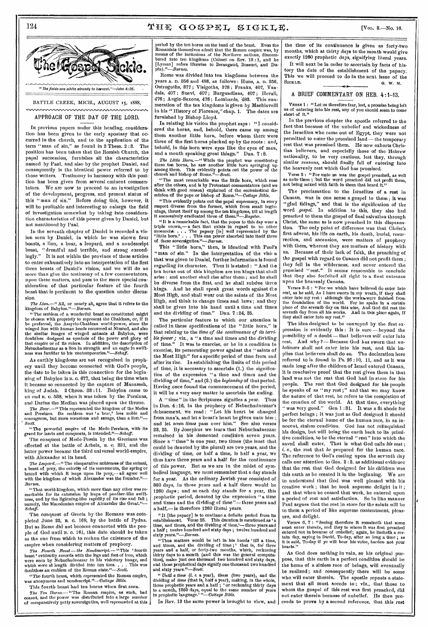# 124  $\textbf{YHE} \textbf{GOSPEL} \textbf{SICKLE}.$  [VOL. 8.-No. 16.



# APPROACH OF THE DAY OF THE LORD.

IN previous papers under this heading, consideration has been given to the early apostasy that occurred in the church, and to the application of the term "man of sin," as found in 2 Thess. 2 :3. The position has been taken that the Romish Church, the papal succession, furnishes all the characteristics named by Paul, and also by the prophet Daniel, and consequently is the identical power referred to by those writers. Testimony in harmony with this position has been given from several eminent commentators. We are now to proceed to an investigation of the development, progress, and present status of this "man of sin." Before doing this, however, it will be profitable and interesting to enlarge the field of investigation somewhat by taking into consideration characteristics of this power given by Daniel, but not mentioned by Paul.

In the seventh chapter of Daniel is recorded a vision seen by Daniel, in which he was shown four boasts, a lion, a bear, a leopard, and a nondescript beast, "dreadful and terrible, and strong exceedingly." It is not within the province of these articles to enter exhaustively into an interpretation of the first three beasts of Daniel's vision, and we will do no more than give the testimony of a few commentators, upon these matters, and pass to the more special consideration of that particular feature of the fourth beast that is pertinent to the question under discussion.

The Lion.—" All, or nearly all, agree that It refers to the kingdom of Babylon."—Barnes.

"The emblem of a wonderful beast so constituted might be chosen with propriety to represent the Chaldean, or, if it be preferred, the Assyrio-Chaldean world-power, since the winged lion with human heads recovered at *Nimrod,* and also the similar images of winged animals at Babylon, were doubtless designed as symbols of the power and glory of that empire or of its rulers. In addition, the description of Nebuchadnezzar as a lion in strength and an eagle In swift-ness was familiar to his contemporaries."—Schaff.

As earthly kingdoms are not recognized in prophecy until they become connected with God's people, the date to be taken in this connection for the beginning of Babylon is B. o. 677, that being the time when it became so connected by the capture of Manasseh, king of Judah. 2 Chron. 33 :11. Babylon came to an end B. C. 538, when it was taken by the Persians, and Darius the Median was placed upon the throne.

*The Bear.*—" This represented the kingdom of the Medes<br>and Persians. Its emblem was 'a bear,' less noble and courageous, but more voraclous and savage, than a lion." ' *Scott.* 

"The powerful empire of the Medo-Persians, with Its greed for lands and conquests, is intended."--Sehaff:

The conquest of Medo-Persia by the Grecians was effected at the battle of Arbela, 13. C. 331, and the latter power became the third universal world-empire, with Alexander at its head.

The Leopard.—" The comparative nobleness of the animal, a beast of prey, the celerity of its movements, the spring or bound with which it leaps upon its prey,— all agree well with the kingdom of which Alexander was the founder."-*Barnes.* 

"That world-kingdom, which more than any other was remarkable for its extension by leaps of panther-like swiftness, and by the lightning-like rapidity of its rise and fall ; namely, the Macedonian empire of Alexander the *Schaff.* 

The conquest of Grecia by the Romans was completed June 22, B. 0. 168, by the battle of Pydna. But as Rome did not become connected with the people of God until B. o. 161, this date should be taken as the one from which to reckon the existence of the empire when considering matters of prophecy.

The Fourth Beast—the Nondescript.— "This 'fourth heast' evidently accords with the legs and feet of iron, which were seen by Nebuchadnezzar in his visionary image, and which were at length divided into ten toes.. . . This was doubtless an emblem of the Roman state."—Scott.

"The fourth beast, which represented the Roman empire, was anonymous and nondescript."—Cottage *Bible.*  This fourth beast had ton horns when first seen.

The Ten *Horns.*-- "The Roman empire, as such, had ceased, and the power was distributed into a large number of comparatively petty sovereignties, well represented at this

period by the ten horns on the head of the beast. Even the Romanists themselves admit that the Roman empire was, by means of the incursions of the Northern nations, dismem-bered into ten kingdoms (Calmet on Rev. 13 :1, and he [Lyman] refers likewise to Berangaud, Bossuet, and Du-<br>pin)."—*Barnes*. pin)."-Barnes.<br>Rome was divided into ten kingdoms between the

years A. D. 356 and 488, as follows : Runs, A. D. 356, Ostrogoths, 377 ; Visigoths, 878 ; Franks, 407, Vandals, 407; Suevi, 407; Burgundians, 407; Heruli, 476: Anglo-Saxons, 476; Lombards, 483. This enu-476; Anglo-Saxons, 476; Lombards, 483. meration of the ten kingdoms is given by Machiavelli in his "History of Florence," chap. 1. The dates are furnished by Bishop Lloyd.

In relating his vision the prophet says : "I considered the horns, and, behold, there came up among them another little horn, before whom there were three of the first horns plucked up by the roots : and, behold, in this horn were eyes like the eyes of man, and a mouth speaking great things." Dan. 7 :8.

The Little Horn.—"While the prophet was considering these ten horns, he saw another little horn springing up among them. This evidently points out the power of the church'and bishop of Rome."—Scott.

"The most remarkable was the little horn, which rose after the others, and is by Protestant commentators (and we think with good reason) explained of the ecclesiastical dominion of the pope or bishop of *Rome."—Cottage Bible.* 

"This evidently points out the papal supremacy, in every respect diverse from the former, which from small begin-nings, thrust itself up among the ten kingdoms, till at length it successively eradicated three of *them."—Bayster.* 

*"It* is a remarkable fact, that the popes to this day wear a triple crown,— a fact that exists in regard to no other monarchs.. . . The papacy [is] well represented by the little horn.' . . . This one power absorbed into itself three of these sovereignties."-Barnes.

This "little horn," then, is identical with Paul's "man of sin." In the interpretation of the vision that was given to Daniel, further information is found regarding its character. Thus it is stated : "And the ten horns out of this kingdom are ten kings that shall arise : and another shall rise after them ; and he shall be diverse from the first, and he shall subdue three kings. And he shall speak great words against tl:e Most High, and shall wear out the saints of the Most High, and think to change times and laws ; and they shall be given into his hand until a time and times and the dividing of time." Dan. 7 :24, 25.

The particular feature to which our attention is called in these specifications of the "little horn," is that relating to the *time of the continuance of its terrible power;* viz., a "a time and times and the dividing of time." It was to exercise, or be in a condition -to exercise, its persecuting power against the "saints of the Most High" for a specific period of time from and after its rise. In establishing the limits of this period of time, it is necessary to ascertain (1.) the signification of the expression "a time and times and the dividing of time," and (2.) the *beginning* of that period. Having once found the commencement of the period, it will be a very easy matter to ascertain the ending.

A "time" in the Scriptures signifies a year. Thus in Dan. 4 :16, in the prophecy of Nebuchadnezzar's debasement, we read : "Let his heart be changed from man's, and let a beast's heart be given unto him ; and let *seven times* pass over him." See also verses 23, 25. By Josephus we learn that Nebuchadnezzar remained in his demented condition seven years. Since a "time" is one year, two times (the least that could be denoted by the plural) are two years, and the dividing of time, or half a time, is half a year, we thus have three years and a half for the continuance of this power. But as we are in the midst of symbolical language, we must remember that a day stands for a year. As the ordinary Jewish year consisted of 360 days, in three years and a half there would be 1260 days ; and as each day stands for a year, this prophetic period, denoted by the expression "a time and times and the dividing of time"— three years and a half,— is therefore 1260 literal years.

"It [the papacy] is to continue a definite period from its establishment. Verse  $25$ . This duration is mentioned as 'a time, and times, and the dividing of time,'— three years and a half ; twelve hundred and sixty days ; twelve hundred and sixty years."—Barnes.

"Thus matters would be left in his hands 'till a time, and times, and the dividing of time; ' that is, for three<br>years and a half, or forty-two months, which, reckoning<br>thirty days to a month (and this was the general computa-<br>tion), make just one thousand two hundred and sixt those prophetical days signify one thousand two hundred and sixty *years."—Scott.* 

" Until a time (i. e. a year), times (two years), and the dividing of time (that is, half a year), making, in the whole, three prophetic years and a half ; 'or reckoning thirty days to a month, 1260 days, equal to the sam

In Rev. 13 the same power is brought to view, and

the time of its continuance is given as forty-two months, which at thirty days to the month would give exactly 1200 prophetic days, signifying literal years. It will next be in order to ascertain by facts of his-

tory the date of the establishment of the papacy. This we will proceed to do in the next issue of the SICKLE. G. W. M.

# A BRIEF COMMENTARY ON HEB. 4:1-13.

VERSE 1 : "Let us therefore fear, lest, a promise being left us of entering into his rest, any of you should seem to come short of It."

In the previous chapter the apostle referred to the fact that because of the unbelief and wickedness of the Israelites who came out of Egypt, they were not permitted to enter the promised land— the temporary rest that was promised them. He now exhorts Christian believers, and especially those of the Hebrew nationality, to be very cautious, lest they, through similar reasons, should finally fail of entering into the heavenly rest which God has promised.

Verse 2 : "For unto us was the gospel preached, as well as unto them ; but the word preached did not profit them, not being mixed with faith in them that heard it."

The proclamation to the Israelites of a rest in Canaan, was in one sense a gospel to them ; it was "glad tidings," and that is the signification of the word *gospel.* In addition to this, they also had preached to them the gospel of final salvation through Christ, the same as is now preached in this dispensa-<br>tion. The only point of difference was that Christ's The only point of difference was that Christ's first advent, his life on earth, his death, burial, resurrection, and ascension, were matters of prophecy with them, whereas they are matters of history with us. Because of their lack of faith, the preaching of the gospel with regard to Canaan did not profit them ; they fell in the wilderness, and never entered the promised "rest." It seems reasonable to conclude that they also forfeited all right to a final entrance upon the heavenly Canaan.

Verses 3-5 : "For we which have believed do enter into rest, as be said, As I have sworn in my wrath, if they shall<br>enter into my rest : although the works were finished from<br>the foundation of the world. For he spake in a certain enter into my rest : although the works were finished from<br>the foundation of the world. For he spake in a certain<br>place of the seventh day on this wise, And God did rest the<br>seventh day from all his works. And in this plac

The idea designed to be conveyed by the first expression is evidently this : It is sure — beyond the possibility of a doubt — that believers *will* enter into rest. And why 7— Because God has sworn that *unbelievers* shall not enter into his rest, and this implies that believers shall do so. The declaration hero referred to is found in Ps. 95:10, 11, and as it was made long after the children of Israel entered Canaan, it is conclusive proof that the rest given them in that land was not the rest that God had in store for his people. The rest that God designed for his people he speaks of as "my rest ;" and that we may know the nature of that rest, he refers to the completion of the creation of the world. At that time, everything "was very good." Gen 1 :31. It was a fit abode for perfect beings ; it was just as God designed it should be for the eternal home of the human race, in an innocent, sinless condition. God has not relinquished his design, but will bring the earth back to its primitive condition, to be the eternal "rest" into which the saved shall enter. That is what God calls *his* rest; e., the rest that *lee* prepared for the human race. The reference to God's resting upon the seventh day calls onr attention to Gen. 2:2, as additional evidence that the rest that God designed for his children was this earth as he created it in the beginning. We are to understand that God was well pleased with his creative work ; that he took supreme delight in it ; and that when he ceased that work, he entered upon a period of rest and satisfaction. So in like manner Paul argues that the rest in store for the saints will be to them a period of like supreme contentment, pleasure, and delight.

Verses 6, 7 : "Seeing therefore it remaineth that some<br>must enter therein, and they to whom it was first preached<br>entered not in because of unbellef; again, he limiteth a cer-<br>tain day, saying in David, To-day, after so lo

As God does nothing in vain, so his original purpose, that this earth in a perfect condition should be the home of a sinless race of beings, will eventually be realized ; and consequently there will be some who will enter therein. The apostle repeats a statement that all must accede to; viz., that those to whom the gospel of this rest was first preached, did not enter therein because of unbelief. He then proceeds to prove by a second reference, that this rest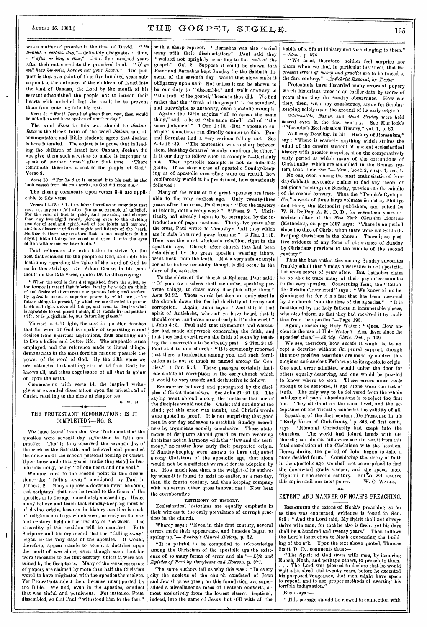# August 15, 1888.]  $\mathbf{T} \boxplus \mathbf{F}$   $\mathbf{G} \mathbf{O} \mathbf{S} \mathbf{P} \mathbf{E} \mathbf{L}$ ,  $\mathbf{S} \mathbf{I} \mathbf{G} \mathbf{K} \mathbf{L} \mathbf{E}$ ,  $125$

was a matter of promise in the time of David. *"He limiteth a certain day,"—definitely* designates a time, *—" after so long a time,"—about* five hundred years after their entrance into the promised land. *"If ye will hear his voice, harden not your hearts."* The purport is that at a point of time five hundred years subsequent to the entrance of the children of Israel into the land of Canaan, the Lord by the mouth of his servant admonished the people not to harden their hearts with unbelief, lest the result be to prevent them from *entering* into his rest.

Verse 8: "For if Jesus bad given them rest, then would he not afterward have spoken of another day."

The word *Jesus* in this text should be *Joshua. Jesus* is the Greek form of the word *Joshua,* and all commentators and Bible students agree that Joshua is here intended. The object is to prove that in leading the children of Israel into Canaan, Joshua did not give them such *a* rest as to make it improper to speak of another "rest" after that time. "There remaineth therefore a rest to the people of God." Verse 9.

Verse 10: "For he that is entered into his rest, he also hath ceased from his own works, as God did from his.'

The closing comments upon verses 3-5 are applicable to this verse.

Verses 11-13 : "Let us labor therefore to enter Into that rest, lest any man fall after the same example of unbelief. For the word of God is quick, and powerful, and sharper than any two-edged sword, piercing even to the dividing asunder of soul and spirit, and of the joints and marrow, and is a discerner of the thoughts and intents of the heart. Neither is there any creature that is not manifest in his sight; but all things are naked and opened unto the eyes of him with whom we have to do."

Paul reiterates the exhortation to strive for the rest that remains for the people of God, and adds his testimony regarding the value of the word of God to us in this striving. Dr. Adam Clarke, *in his* comments on the 12th verse, quotes Dr. Dodd as saying :—

"When the soul is thus distinguished from the spirit, by<br>the former is meant that inferior faculty by which we think<br>of and desire what concerns our present being and welfare.<br>By spirit is meant a superior power by which Is agreeable to our present state, if it stands in competition with, or is prejudicial to, our future happiness."

Viewed in this light, the text in question teaches that the word of God is capable of separating carnal desires from spiritual aspirations, thus enabling one to live a holier and better life. The emphatic terms employed, and the reference made to literal things, demonstrate in the most forcible manner possible the power of the word of God. By the 13th verse we are instructed that nothing can be hid from God ; he knows all, and takes cognizance of all that is going on upon the earth.

Commencing with verse 14, the inspired writer gives an extended dissertation upon the priesthood of Christ, reaching to the close of chapter ten.

0. w. M.

## 16 THE PROTESTANT REFORMATION : IS IT COMPLETED?—N0. 6.

WE have found' from the New Testament that the apostles were seventh-day adventists in faith and<br>practice. That is, they observed the seventh day of That is, they observed the seventh day of the week as the Sabbath, and believed and preached the doctrine of the second personal coming of Christ. Upon these and other gospel truths they stood in harmonious unity, being "of one heart and one soul."

We now come to the second point in this discussion,—the "falling away" mentioned by Paul in 2 Thess. 2. Many suppose a doctrine must be sound and scriptural that can be traced to the times of the apostles or to the age immediately succeeding. Hence many believe and teach that Sunday-keeping must be of divine origin, because in history mention is made of religious meetings which were, as early as the second century, held on the first day of the week. The absurdity of this position will be manifest. Scripture and history record that the "falling away" began in- the very days of the apostles. It would, therefore, appear unsafe to accept a doctrine upon the merit of age alone, even though such doctrine were traceable to the first century, unless it were sustained by the Scriptures. Many of the senseless errors of popery aro claimed by more than half the Christian world to have originated with the apostles themselves. Yet Protestants reject them because unsupported by the Bible. We find, even in the apostles, conduct that was sinful and pernicious. For instance, Peter dissembled, so that Paul " withstood him to the face "

 $\mathbf{r}$ 

with a sharp reproof. "Barnabas was also carried away with their dissimulation." Paul said they "walked not uprightly according to the truth of the gospel." Gal. 2. Suppose it could bo shown that Peter and Barnabas kept Sunday for the Sabbath, instead of the seventh day ; would that alone make it obligatory upon us ?—Not unless it can be shown to be our duty to "dissemble," and walk contrary to "the truth of the gospel," because they did. We find rather that the " truth of the gospel" is the standard, and outweighs, as authority, even apostolic example.

Again : the Bible enjoins " all to speak the same thing," and to be of "the same mind" and of "the same judgment." 1 Cor. 1:10. But "apostolic example" sometimes ran directly counter to this. Paul and Barnabas had a very serious falling out. See Acts 15 :39. "The contention was so sharp between them, that they departed asunder one from the other." Is it our duty to follow such an example ?—Certainly not. Then apostolic example is not an infallible guide. If as clear a case of apostolic Sumday-keep-If as clear a case of apostolic Sunday-keeping as of apostolic quarreling were on record, how vociferously would it be proclaimed, how tenaciously followed !

Many of the roots of the great apostasy are traceable to the very earliest age. Only twenty-three years after the cross, Paul wrote : "For the mystery of iniquity doth already work." 2 Thess. 2 : 7. Christianity had already begun to be corrupted by the introduction of pagan customs. Thirty-five years after the cross, Paul wrote to Timothy : "All they which are in Asia be turned away from me." 2 Tim. 1 :15. Here was the most wholesale rebellion, right in the apostolic age. Church after church that had been established by the great apostle's wearing labors, went back from the truth. Not a very safe example for us to follow certainly, though it did occur in the days of the apostles.

To the elders of the church at Ephesus, Paul said : "Of your own selves shall men arise, speaking perverse things, to draw away disciples after them." Acts 20:30. These words betoken au early start in the church down the fearful declivity of heresy and corruption. Again, John says : "And this is that spirit of Antichrist, whereof ye have heard that it should come ; and even now already is it in the world." 1 John 4:3. Paul said that Hymenæus and Alexander had made shipwreck concerning the faith, and that they had overthrown the faith of some by teaching the resurrection to be already past. 2 Tim. 2 :18. Paul said to one church : "It is commonly reported that there is fornication among you, and such fornication as is not so much as named among the Gentiles."  $1 \text{ Cor. } 5:1$ . These nassages cartainly indi-1 Cor. 5:1. These passages certainly indicate a state of corruption in the early church which it would be very unsafe and destructive to follow.

Errors were believed and propagated by the disciples of Christ themselves. *See* John 21:21-23. The saying went abroad among the brethren that one of the disciples would not die. Christ said nothing of the kind ; yet this error was taught, and Christ's words were quoted as proof. It is not surprising that good men in our day endeavor to establish Sunday sacredness by arguments equally conclusive. These statements of Scripture should guard us from receiving doctrines not in harmony with the " law and the testimony," no matter how early their purported origin. If Sunday-keeping were known to have originated among Christians of the apostolic age, that alone would not be a sufficient warrant for its adoption by us. How much less, then, is the weight of its authority when -it is found to exist no earlier, as a rest-day, than the fourth century, and then keeping company with numerous other gross innovations I Now hear the corroborative

## TESTIMONY OF HISTORY.

Ecclesiastical historians are equally emphatic in their witness to the early prevalence of corrupt practices in the church.

Wharey says : "Even in this first century, several errors made their appearance, and heresies began to spring *up."—Wharey's Church History,* p. 22.

"It is painful to be compelled to acknowledge among the Christians of the apostolic age the existence of so many forms of error and sin."—Life *and Epistles of Paul by Conybeare and Howson,* p. 377.

The same authors tell us why this was: "In every city the nucleus of the church consisted of Jews and Jewish proselytes ; on this foundation was superadded a miscellaneous mass of heathen converts, almost exclusively from the lowest classes—baptized, indeed, into the name of Jesus, but still with all the habits of a life of idolatry and vice clinging to them." *Idem.*, p. 376.

" We need, therefore, neither feel surprise nor alarm when we find, in particular instances, that the *grossest errors of theory and practice* are to be traced to the first *century."—Antichrist Exposed, by Taylor.* 

Protestants have discarded many errors of popery which historians trace to an earlier date by scores of years than they do Sunday observance. How can they, then, with any consistency, argue for Sundaykeeping solely upon the ground of its early origin ?

*Whitsuntide, Easter,* and *Good Friday* were held sacred even in the first century. See Murdock's "Mosheim's Ecclesiastical History," vol. 1, p. 85.

Well may Dowling, in his "History of Romanism," say : "There is scarcely anything which strikes the mind of the careful student of ancient ecclesiastical history with greater surprise, than the comparatively early period- at which many of the corruptions of Christianity, which are embodied in the Roman system, took their *rise."—Idem.,* book 2, chap. 1, sec.,1.

No one, even among the most enthusiastic of Sunday-Sabbath advocates, claims to find any record of religious meetings on *Sunday,* previous to the middle of the second century. Thus the "People's Cyclopedia," a work of three large volumes issued by Phillips and Hunt, the Methodist publishers, and edited by W. H. De Puy, A. M., D. D., for seventeen years associate editor of the *New York Christian Advocate*  (Methodist), on page 1597 says : "There is no period since the time of Christ when there were not Sabbathkeeping Christians in the church. There is no positive evidence of any form of observance of Sunday by Christians previous to the middle of the second century."

Thus the best authorities among Sunday advocates frankly admit that Sunday observance is not apostolic, but arose scores of years after. But Catholics claim to be able to trace many of their pagan ceremonies to the very apostles. Concerning Lent, the "Catholic Christian"Instructed" says : " We know of no beginning of it; for it is a fast that has been observed<br>by the church from the time of the apostles." "It is by the church from the time of the apostles." mentioned by the holy fathers in innumerable places, who also inform us that they had received it by tradition from the apostles."—Page 193.

Again, concerning Holy Water : " Ques. How ancient is the use of Holy Water ? Ans. Ever since the apostles' *time."—Abridg. Chris. Doc.,* p. 149.

We see, therefore, how unsafe it would be to accept *a* doctrine without Scriptural support, though the most positive assertions are made by modern theologians and ancient Fathers as to its apostolic origin. One such error admitted would unbar the door for others equally deserving, and one would be puzzled to know where to stop. These errors arose *early*  enough to be accepted, if age alone were the test of truth. The only way to be delivered from the whole catalogue of papal abominations is to reject the first They all stand on the same level, and the acceptance of one virtually concedes the validity of all.

Speaking of the first century, De Pressense in his "Early Years of Christianity," p. 368, of first cent., says : "Nominal Christianity had crept into the churches. The world had joined hands with the church ; scandalous falls were seen to result from this fatal association of the Christians with the heathen. Heresy during the period of John began to take a<br>more decided form." Considering this decay of faith Considering this decay of faith in the apostolic age, we shall not be surprised to find the downward grade steeper, and the speed more frightful in the second century. But we will reserve<br>this topic until our next paper. W. C. WALES. this topic until our next paper.

# EXTENT AND MANNER OF NOAH'S PREACHING.

REGARDING the extent of Noah's preaching, so far as time was concerned, evidence is found in Gen. 6:3 : "And the Lord said, My Spirit shall not always strive with man, for that he also is flesh: yet his days shall be a hundred and twenty years." Then follows the Lord's instruction to Noah concerning the building of the ark. Upon the text above quoted, Thomas Scott, D. D., comments thus :-

" The Spirit of God *strove* with men, by inspiring Enoch, Noah, and perhaps others, to preach to them. . The Lord was pleased to declare that he would wait a hundred and twenty years, before he exceuted his purposed vengeance, that men might have space to repent, and to use proper methods of averting his terrible indignation."

Bush says :—

"This passage should be viewed in connection with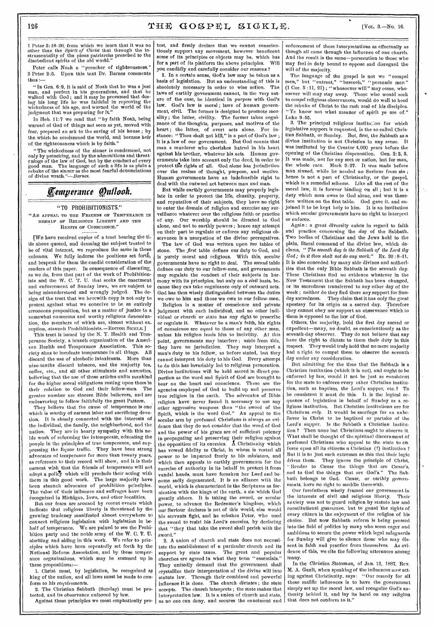1 Peter 3: 18–20, from which we learn that it was no other than the *Spirit of Christ* that through the instrumentality of the pious patriarchs preached to the disobedient spirits of the old world."

Peter calls Noah a "preacher of righteousness." 2 Peter 2:5. Upon this text Dr. Barnes comments thus :—

" In Gen. 6:9, it is said of Noah that he was a just man, and perfect in his generations, and that he walked with God ; and it may be presumed that dur-ing his long life he was faithful in reproving the wickedness of his age, and warned the world of the judgment that was preparing for it."

In Hob. 11:7 we read that "by faith Noah, being warned of God of things not seen as yet, moved with fear, prepared an ark to the saving of his house ; by the which he condemned the world, and became heir of the righteousness which is by faith."

"The wickedness of the sinner is condemned, not only by preaching, and by the admonitions and threatenings of the law of God, but by the conduct of every good man. The language of such a life is as plain a rebuke of the sinner as the most fearful denunciations of divine *wrath."—Barnes.* 

# *Eemptrance Onflooh.*

# "TO PROHIBITIONISTS."

"AN APPEAL TO THE FRIENDS OF TEMPERANCE IN BEHALF OF RELIGIOUS LIBERTY AND THE RIGHTS OF CONSCIENCE."

[WE have received copies of a tract bearing the title above quoted, and deeming the subject treated to be of vital interest, we reproduce the same in these columns. We fully indorse the positions set fortfi, and bespeak for them the candid consideration of the readers of this paper. In consequence of dissenting, as we do, from that part of the work of Prohibitionists and the W. C. T. U. that seeks the enactment and enforcement of Sunday laws, we are subject to being misunderstood and wrongly judged. The design of the tract that we herewith copy is not only to protest against what we conceive to be au entirely erroneous proposition, but as a matter of justice to a somewhat numerous and worthy religious denomination, the members of which are, almost without exception,,staunch Prohibitionists.—EDITOR SICKLE.)

This tract is issued by the N. Y. Health and Temperance Society, a branch organization of the American Health and Temperance Association. This society aims to inculcate temperance in all things. All discard the use of alcoholic intoxicants. More than nine-tenths discard tobacco, and the majority tea, coffee, etc., and all other stimulants and narcotics, believing that the use of these articles unfits mankind for the higher moral obligations resting upon them in their relation to God and their fellow-men. The greater number are sincere Bible believers, and are endeavoring to follow faithfully the great Pattern.

They believe that the cause of temperance is one which is worthy of earnest labor and sacrificing devotion. It is closely connected with the interests of the individual, the family, the neighborhood, and the nation. They are in hearty sympathy with this noble work of reforming the intemperate, educating the people in the principles of true temperance, and suppressing the liquor traffic. They \_have been strong advocates of temperance for more than twenty years, as reference to their record will show, and it is their earnest wish that the friends of temperance will not adopt a policy which will preclude their acting with them in this good work. The large majority have been staunch advocates of prohibition principles. The value of their influence and suffrages have been recognized in Michigan, Iowa, and other localities.

But our fears are aroused by recent events which indicate that religious liberty is threatened by the growing tendency manifested almost everywhere to connect religious legislation with legislation in behalf of temperance. We are pained to see the Prohibition party and the noble army of the W. C. T. U. abetting and aiding in this work. We refer to principles which have been repeatedly set forth by the National Reform Association, and by these temperance organizations, which may be summed up in these propositions:-

1. Christ must, by legislation, be recognized as king of the nation, and all laws must be made to conform to his requirements.

2. The Christian Sabbath (Sunday) must be protected, and its observance enforced by law. Against these principles we most emphatically pro-

test, and firmly declare that we cannot conscientiously support any movement, however beneficent some of its principles or objects may be, which has for a part of its platform the above principles. Will you candidly and carefully consider our reasons ?

1. In a certain sense, God's law may be taken as a basis of legislation. But an understanding of this is absolutely necessary in order to wise action. The laws of earthly government cannot, in the very nature of the case, be identical in *purpose* with God's law. God's law is moral; laws of human government, civil. The former is designed to promote morality; the latter, civility. The former takes cognizance of the thoughts, purposes, and motives of the heart; the latter, of overt acts alone. For instance: "Thou shalt not kill," is a part of God's law ; it is a law of our government. But God counts that man a murderer who cherishes hatred in his heart against his brother, whatever his acts. Human governments take into account only the deed, in order to protect the rights of all. God alone has jurisdiction over the realms of thought, purpose, and motive. Human governments have an indefeasible right to deal with the outward act between man and man.

But while earthly governments may properly legislate in order to protect the life, chastity, property, and reputation of their subjects, they have no right to enter the domain of religion and exercise any surveillance whatever over the religious faith or practice of any. Our worship should be directed to God alone, and not to earthly powers ; hence any attempt on their part to regulate or enforce any religious observance is a usurpation of the divine prerogatives.

The law of God was written upon *two* tables of stone. The *first* table defines our duty to God, and is purely moral and religious. With this, secular governments have no right to deal. The *second* table defines our duty to our fellow-men, and governments may regulate the conduct of their subjects in harmony with its principles, but only on a *civil* basis, because they can take cognizance only of outward acts. God has thus wisely distinguished between the duties we owe to him and those we owe to our fellow-men.

Religion is a matter of conscience and private judgment with each individual, and no other individual or church or state has any right to prescribe or regulate it. Whatever be a man's faith, his rights of conscience are equal to those of any other man, unless his religion leads him to incivility. At this point, governments may interfere ; aside from this, they have no jurisdiction. They may interpret a man's duty to his fellow, as before stated, but they cannot interpret his duty to his God. Every attempt to do this has invariably led to religious persecution. Divine institutions will be held sacred in direct proportion as the word and Spirit of God are brought to bear on the heart and conscience. These are the agencies employed of God to build up and preserve<br>true religion in the earth. The advocates of Bible  $true$  religion in the earth. religion have never found it necessary to use any other aggressive weapons than "the sword of the Spirit, which is the word God." An appeal to the secular arm by professed Christians is always an evidence that they do not consider that the word of God and the power of his grace are of sufficient potency in propagating and preserving their religion against the opposition of its enemies. A Christianity which has vowed fidelity to Christ, in whom is vested all power to be imparted freely to his ministers, and which then appeals to earthly governments for the exercise of authority in its behalf to protect it from vandal hands, must have forsaken her Lerd and become sadly degenerated, It is an alliance with the world, which is characterized in the Scriptures as fornication with the kings of the earth, a sin which God greatly abhors. It is taking the sword, or secular power, to advance the Redeemer's kingdom, which our Saviour declares is not of this world, else would his servants fight, and he rebukes Peter, who used the sword to resist his Lord's enemies, by declaring that "they that take the sword shall perish with the sword."

2. A union of church and state does not necessitate the establishment of a particular church and its support by state taxes. The great and popular support by state taxes. churches are agreed in what they term "essentials." They unitedly demand that the government shall crystallize their interpretation of the divine will into statute law. Through their combined and powerful influence it is done. The church dictates ; the state accepts. The church interprets ; the state makes that interpretation law. It is a union of church and state, as no one can deny, and secures the enactment and

enforcement of these interpretations as effectually as though all came through the influence of one church. And the result is the same—persecution to those who may feel in duty bound to oppose and disregard the will of the majority.

The language of the gospel is not we "compel men," but "entreat," "beseech," "persuade men"  $(1 \text{ Cor. } 5:11, 21)$ ; "whosoever will" may come, whosoever will may stay away. Those who would seek to *compel* religious observances, would do well to heed the rebuke of Christ to the rash zeal of his disciples. "Ye know not what manner of spirit ye are of." Luke 9:55.

3. The principal religious institution for which legislative support is requested, is the so-called Chris• tian Sabbath, or Sunday. But, first, the Sabbath as a divine institution is not Christian in any sense. It was instituted by the Creator 4,000 years before the opening of the Christian dispensation. Gen. 2:2, 3. It was made, not for any sect or nation, but for man, the whole race. Mark 2:27. It was made before man sinned, while he needed no Saviour from sin ; hence is not a part of Christianity, or the gospel, which is a remedial scheme. Like all the rest of the moral law, it is forever binding on all ; but it is a duty which man owes to God alone, and was therefore written on the first table. God gave it. and enjoined it to be kept holy to him. It is an institution which secular governments have no right to interpret or enforce.

Again : a great diversity exists in regard to faith and practice concerning the *day* of the Sabbath. Two bodies of Christians and the Jews hold to the plain, literal command of the divine law, which declares, " *The seventh day is the Sabbath of the Lord thy God; in it thou shalt not do any work."* Ex. 20 :8-11. It is also conceded by many able divines and authorities that the only Bible Sabbath is the seventh day. These Christians find no evidence whatever in the New Testament that the Sabbath has been changed, or its sacredness transferred to any other day of the week ; neither do they find there any support for Sun-<br>day sacredness. They claim that it has only the great They claim that it has only the great apostasy for its origin as a sacred day. Therefore they cannot obey nor support an observance which to them is opposed to the law of God.

Others, the majority, hold the first day sacred or expedient—many, no doubt, as conscientiously as the seventh-day observer. They do not believe that any have the right to dictate to them their duty in this respect. They would truly hold that no mere majority had a right to compel them to observe the seventh day under any consideration.

But admitting for the time that the Sabbath is a Christian institution (which it is not), and ought to be enforced by law, would it not be just as consistent for the state to enforce every other Christian institution, such as baptism, the Lord's supper, etc. ? To be consistent it must do this. It is the logical sequence of legislation in behalf of Sunday as a religious institution, But Christian institutions are for Christians *only.* It would be sacrilege for an unbeliever in Christ to be baptized or partake of the Lord's supper. Is the Sabbath a Christian institution ? Then none but Christians ought to observe it. What shall be thought of the spiritual discernment of professed Christians who appeal to the state to enforce upon all its citizens a Christian (?) institution ? But it is to just such extremes as this that their logic<br>drives them. They ignore the principle of Christ, They ignore the principle of Christ, "Render to .Caesar the things that are Caesar's, and to God the things that are God's." The Sabbath belongs to God. Cæsar, or earthly governments, have no right to meddle therewith.

Our forefathers wisely framed our government in the interests of civil and relighius liberty. Their anxiety was not to guard religion by statute law and constitutional guarantee, but to guard the rights of every citizen in the enjoyment of the religion of his choice. But now Sabbath reform is being pressed into the field of politics by many who seem eager and ambitious to secure the power which legal safeguards for Sunday will give to silence those who may dissent in faith and practice from themselves. As evidence of this, we cite the following utterances among many.

In the *Christian, Statesman,* of Jan. 13, 1887, Rev. M. A. Gault, when speaking of the influences now acting against Christianity, says: "Our remedy for all these malific influences is to have the government simply set up the moral law, and recognize God's authority behind it, and lay its hand on any religion that does not conform to it."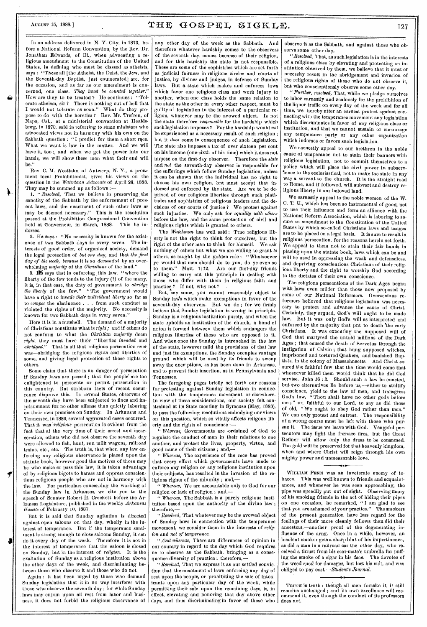≯

 $\overline{\mathbf{f}}$ 

In an address delivered in N. Y. City, in 1873, before a National Reform Convention, by the Rev. Dr. Jonathan Edwards, of Ill., when \_advocating a religious amendment to the Constitution of the United States, in defining who must be classed as atheists, says : "These all [the Atheist, the Deist, the Jew, and the Seventh-day Baptist, just enumerated] are, for the occasion, and as far as our amendment is concerned, one class. *They must be counted together."*  How are they to be treated ? He continues : "Tolerate atheism, sir ? There is nothing out of hell that I would not tolerate as soon." What do they propose to do with the heretics ? Rev. Mr. Trefren, of Napa, Cal., at a ministerial convention at Healdsburg, in 1870, said in referring to some ministers who advocated views not in harmony with his own on the Sabbath question : "I predict for them a short race. What we want is law in the matter. And we will have it, too ;, and when we get the power into our hands, we will show these men what their end will  $ha$ .

Rev. C. M. Westlake, of Antwerp. N. Y.; a prominent local Prohibitionist, gives his views on the question in the *Watertown Advocate* of April 26, 1888. They may be summed  $np$  as follows  $:$ 

*1. "Resolved,* That we believe in preserving , the sanctity of the Sabbath by the enforcement of present laws, and the enactment of such other laws as may be deemed necessary." This is the resolution passed at the Prohibition Congressional Convention<br>passed at the Prohibition Congressional Convention<br>held at Gonverneur, in March, 1888. This he inheld at Gonverneur, in March, 1888. dorses.

2. He says: "No necessity is known for the existence of two Sabbath days in every seven. The interests of good order, of organized society, demand the legal protection of *but one day,* and that *the first*  day of the week, because it is so *demanded* by an overwhelming *majority* of the *Christians* of the land."

3. IC says that in enforcing this law, "where the liberty of the few tends to the injury (?) of the many, it is, in that case, the duty of government to *abridge the liberty* of the few." "The government would have a right to *invade their individual liberty* so far as to *compel* the abstinence . . . from such conduct as violated the rights of the majority. No necessity is known for two Sabbath days in every seven."

Here it is in a nutshell. The demand of a majority of Christians constitute what is *right;* and if others do not conform to what the *Christian majority* deem *right,* they must have their " liberties *invaded* and *abridged."* That is all that religious persecution ever was—abridging the religious rights and liberties of some, and giving legal protection of those rights to others.

Some claim that there is no danger of persecution if Snnday laws are passed; that the people' are too enlightened to persecute or permit persecution in this country. But stubborn facts of recent occurrence disprove this. In several States, observers of the seventh day have been subjected to fines and imprisonment for. no other offense than quietly laboring on their own premises on Sunday. In Arkansas and Tennessee, in 1886, several aggravated cases occurred. That it was *religious* persecution is evident from the fact that at the very time of their arrest and incarceration, others who did not observe the seventh day were allowed to fish, hunt, run milk wagons, railroad trains, etc., etc. The truth is, that when any law enforcing any religious observance is placed upon the statute book, however good the motives of those may be who make or pass this law, it is taken advantage of by religious bigots to harass and oppress conscientious religious people who are not in harmony with the law. For particulars concerning the working of the Sunday law in Arkansas, we cite you to the speech of Senator Robert H. Crockett before the Arkansas Legislature, published in the weekly *Arkansas Gazette* of February 10, 1887.

Bnt it is said that Sunday agitation is directed against open saloons on that day, wholly in the interest of temperance. But if the temperance sentiment is strong enough to close saloons Sunday, it can do it every day of the week. Therefore it is not in the interest of temperance that the saloon is closed on Sunday, but in the interest of *religion.* It is the exaltation of Sunday as a religious institution above the other *days of* the week, and discriminating between those who observe it and those who do not.

Again : it has been nrged by those who demand Sunday legislation that it in no way interferes with those who observe the seventh day ; for while Sunday .laws may enjoin upon all rest from labor and business, it does not forbid the religious observance of any other day of the week as the Sabbath. And therefore whatever hardship comes to the observers of the seventh day, comes because of their religion, and for this hardship the state is not responsible. These are some of the sophistries which are set forth as jndicial fairness in religions circles and courts of justice, by divines and judges, in defense of Sunday laws. But a state which makes and enforces laws which favor one religions class and work injnry to another, when one class holds the same relation to the state as the other in every other respect, must be guilty of legislation in the interest of a particular religion, whatever may be the avowed object. Is not the state therefore *responsible* for the hardship which sneh legislation imposes ? For the hardship would not be experienced as a necessary result of such religion ; but it *does* come in consequence of snch legislation. The state also imposes a tax of over sixteen per cent on his income (one-sixth of his time) which it does not impose on the first-day observer. Therefore the *state*  and *not* the seventh-day observer is responsible for the sufferings which follow Sunday legislation, nnless it can be shown that the individual has no right to choose his own religion, but must accept that indorsed and enforced by the state. Are we to be deprived of our religious liberties through such platitudes and sophistries of religious leaders and the decisions of our courts of justice ? We protest against such injustice. We only ask for *equality with others*  before the law, and the same protection of civil and religions rights which is granted to others.

The *Watchman* has well said : Trne religious liberty is not the right to think for ourselves, but the right of the other man to think for himself. We ask nothing *of* others but what we are willing to grant *to*  others, as taught by the golden rule : "Whatsoever ye would that men should do to you, do ye even so to them." Matt. 7:12. Are our first-day friends willing to carry out this principle in dealing with those who differ with them in religious faith and practice ? If not, why not ?

But, say some, you cannot reasonably object to Snnday laws which make exemptions in favor of the seventh-day observers. But we do ; for we firmly believe that Snnday legislation is wrong in principle. Sunday is a religious institution purely, and when the state upholds an institution of the church, a bond of union is formed between them which endangers the religious liberties of those who are opposed to it. And when once the Sunday, is intrenched in the law of the state, however mild the provisions of that law and jnst its exemptions, the Snnday occupies vantage ground which will be used by its friends to sweep away the exemptions, as has been done in Arkansas, and to prevent their insertion, as in Pennsylvania and Tennessee.

The foregoing pages briefly set forth our reasons for protesting against Sunday legislation in connection with the temperance movement or elsewhere. In view of these considerations, our society felt constrained at its State meeting in Syracuse (May, 1888), to pass the following resolutions embodying our views on this question, which so vitally affects religous liberty and the rights of conscience :—

Whereas, Governments are ordained of God to regulate the conduct of men in their relations to one another, and protect the lives, property, virtue, and good name of their citizens ; and,—

" *Whereas,* The experience of the race has proved that every effort which governments have made to enforce any religion or any religions institution nuon their subjects, has resulted in the invasion of the religions rights of the minority ; and,-

" *Whereas,* We are accountable only to God for our religion or lack of religion ; and,—

Whereas, The Sabbath is a pnrely religious institution based npon the anthority of the divine law; therefore,—

"*Resolved,* That whatever may be the avowed object of Snnday laws in connection with the temperance movement, we consider them in the interests of *religion* and *not of temperance.* 

*"And whereas,* There are differences of opinion in onr country in regard to the day which God requires us to observe as the Sabbath, bringing as a consequence diversity of practice; therefore,-

*"Resolved,* That we express it as our settled *conviction* that the enactment of laws enforcing any day of rest upon the people, or prohibiting the sale of intoxicants upon any particular day of the week, while permitting their sale upon the remaining days, is, in effect, elevating and honoring that day above other days, and thus discriminating in favor of those who observe it as the Sabbath, and against those who observe some other day.

*"Resolved,* That, as such legislation is in the interests of a religions class by elevating and protecting an institution observed by them, we believe that it must of necessity result in the abridgement and invasion of the religious rights of those who do not observe it, but who conscientionsly observe some other day.

*"Further, resolved,* That, while we pledge ourselves to labor earnestly and zealously for the prohibition of the liquor traffic on every day of the week and for all time, we hereby ntter an earnest protest against connecting with the temperance movement any legislation which discriminates in favor of any religions class or institution, and that we cannot sustain or encourage any temperance party or any other organization which indorses or favors such legislation.

We earnestly appeal to our brethren in the noble cause of temperance not to stain their banners with religious legislation, not to commit themselves to a policy which will place the civil power in subservlence to the ecclesiastical, not to make the state in any. way a servant to the church. It is the straight road to Rome, and if followed, will subvert and destroy religious liberty in our beloved land.

We earnestly appeal to the noble women of the W. C. T. U., which has been so instrumental of good, not to use their influence and form an alliance with the National Reform Association, which is laboring to socnre an amendment to the Constitution of the United States by which so-called Christians laws and usages are to be placed on a legal basis. It is sure to result in religious persecution, for the reasons herein set forth. We appeal to them not to stain their fair hands in placing upon the statute book, laws which can be and will be used in oppressing the weak and defenseless, and depriving conscientions Christians of their religious liberty and the right to worship God according to the dictates of their own conscience.

The religions persecutions of the Dark Ages began with laws even milder than those now proposed by some of our National Reformers. Overzealous reformers believed that religious legislation was necessary to protect and advance the cause of Christ. Certainly, they argued, God's will ought to be made law. But it was only God's will as interpreted and enforced by the majority that pnt to death the early Christians. It was executing the supposed will of God that martyred the untold millions of the Dark Ages ; that caused the death of Servetus through the instigation of Calvin ; that hung supposed witches, imprisoned and tortured Quakers, and banished Baptists, in the colony of Massachusetts. And Christ assured the faithful few that the time would come that whosoever killed them would think that he did God serviee. John 16 : 2. Should such a law be enacted. but two alternatives lie before us,—either to stultify conscience, yield to the law of men, and transgress Thou shalt have no other gods before me ;" or, faithful to our Lord, to say as did those of old, "We ought to obey God rather than men." We can only protest and entreat. The responsibility of a wrong course must be left with those who pursne it. The issue we leave with God. Vengeful persecutors may light the furnace fires, but the Great Refiner will allow only the dross to be consumed. The gold will be preserved for that heavenly kingdom, when and where Christ will reign through his own mighty power and unmeasurable love.

## \*41

WILLIAM PENN was an inveterate enemy of tobacco. This was well known to friends and acquaintances, and whenever he was seen approaching, the pipe was speedily put out of sight. Observing many of his smoking friends in the act of hiding their pipes on one occasion, he remarked, "I am glad to see that you are ashamed of your practice." The smokers of the present generation have less regard for the feelings of their more cleanly fellows than did their ancestors,—another proof of the degenerating influence of the drng. Once in a while, however, an insolent smoker gets a sharp hint of his impertinence, as did a man in a railroad car the other day, who received a thrust from his seat-mate's umbrella for puffing the smoke of a cigar in his face. The devotee of the weed sued for damages, but lost his suit, and was obliged to pay cost. *—Student's Journal.* 

TRUTH is truth : though all men forsake it, it still remains unchanged ; and its own excellence will recommend it, even though the conduct of its professors does not.